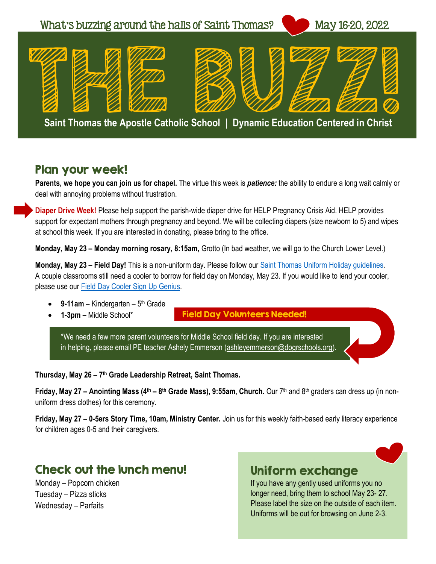

#### Plan your week!

**Parents, we hope you can join us for chapel.** The virtue this week is *patience:* the ability to endure a long wait calmly or deal with annoying problems without frustration.

**Diaper Drive Week!** Please help support the parish-wide diaper drive for HELP Pregnancy Crisis Aid. HELP provides support for expectant mothers through pregnancy and beyond. We will be collecting diapers (size newborn to 5) and wipes at school this week. If you are interested in donating, please bring to the office.

**Monday, May 23 – Monday morning rosary, 8:15am,** Grotto (In bad weather, we will go to the Church Lower Level.)

**Monday, May 23 – Field Day!** This is a non-uniform day. Please follow our [Saint Thomas Uniform Holiday guidelines.](https://stthomasgr.org/wp-content/uploads/2021/09/Saint-Thomas-Uniform-Holiday-Guidelines-2021.pdf) A couple classrooms still need a cooler to borrow for field day on Monday, May 23. If you would like to lend your cooler, please use our [Field Day Cooler Sign Up Genius.](https://www.signupgenius.com/go/10c0f44a8aa2da6f58-cooler)

- 9-11am Kindergarten 5<sup>th</sup> Grade
- **1-3pm –** Middle School\*

Field Day Volunteers Needed!

\*We need a few more parent volunteers for Middle School field day. If you are interested in helping, please email PE teacher Ashely Emmerson [\(ashleyemmerson@dogrschools.org\)](mailto:ashleyemmerson@dogrschools.org).

**Thursday, May 26 – 7 th Grade Leadership Retreat, Saint Thomas.** 

**Friday, May 27 – Anointing Mass (4th – 8 th Grade Mass), 9:55am, Church.** Our 7th and 8th graders can dress up (in nonuniform dress clothes) for this ceremony.

**Friday, May 27 – 0-5ers Story Time, 10am, Ministry Center.** Join us for this weekly faith-based early literacy experience for children ages 0-5 and their caregivers.

## Check out the lunch menu!

Monday – Popcorn chicken Tuesday – Pizza sticks Wednesday – Parfaits

#### Uniform exchange

If you have any gently used uniforms you no longer need, bring them to school May 23- 27. Please label the size on the outside of each item. Uniforms will be out for browsing on June 2-3.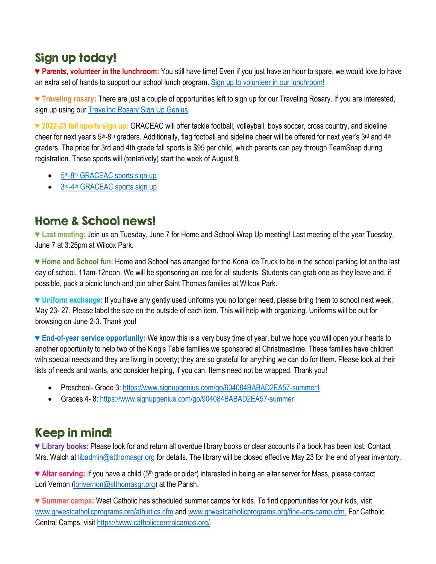## Sign up today!

♥ **Parents, volunteer in the lunchroom:** You still have time! Even if you just have an hour to spare, we would love to have an extra set of hands to support our school lunch program. [Sign up to volunteer in our lunchroom!](https://www.signupgenius.com/go/10c0f49aca72caaf4c16-lunchroom)

♥ **Traveling rosary:** There are just a couple of opportunities left to sign up for our Traveling Rosary. If you are interested, sign up using our [Traveling Rosary Sign Up Genius.](https://www.signupgenius.com/go/9040e4aa9af29a31-traveling)

**♥ 2022-23 fall sports sign up:** GRACEAC will offer tackle football, volleyball, boys soccer, cross country, and sideline cheer for next year's 5<sup>th</sup>-8<sup>th</sup> graders. Additionally, flag football and sideline cheer will be offered for next year's 3<sup>rd</sup> and 4<sup>th</sup> graders. The price for 3rd and 4th grade fall sports is \$95 per child, which parents can pay through TeamSnap during registration. These sports will (tentatively) start the week of August 8.

- 5<sup>th</sup>-8<sup>th</sup> [GRACEAC sports sign up](https://go.teamsnap.com/forms/314220)
- 3rd-4<sup>th</sup> [GRACEAC sports sign up](https://go.teamsnap.com/forms/314224)

## Home & School news!

**♥ Last meeting:** Join us on Tuesday, June 7 for Home and School Wrap Up meeting! Last meeting of the year Tuesday, June 7 at 3:25pm at Wilcox Park.

**♥ Home and School fun:** Home and School has arranged for the Kona Ice Truck to be in the school parking lot on the last day of school, 11am-12noon. We will be sponsoring an icee for all students. Students can grab one as they leave and, if possible, pack a picnic lunch and join other Saint Thomas families at Wilcox Park.

**♥ Uniform exchange:** If you have any gently used uniforms you no longer need, please bring them to school next week, May 23- 27. Please label the size on the outside of each item. This will help with organizing. Uniforms will be out for browsing on June 2-3. Thank you!

♥ **End-of-year service opportunity:** We know this is a very busy time of year, but we hope you will open your hearts to another opportunity to help two of the King's Table families we sponsored at Christmastime. These families have children with special needs and they are living in poverty; they are so grateful for anything we can do for them. Please look at their lists of needs and wants, and consider helping, if you can. Items need not be wrapped. Thank you!

- Preschool- Grade 3[: https://www.signupgenius.com/go/904084BABAD2EA57-summer1](https://www.signupgenius.com/go/904084BABAD2EA57-summer1)
- Grades 4-8[: https://www.signupgenius.com/go/904084BABAD2EA57-summer](https://www.signupgenius.com/go/904084BABAD2EA57-summer)

# Keep in mind!

**♥ Library books:** Please look for and return all overdue library books or clear accounts if a book has been lost. Contact Mrs. Walch at [libadmin@stthomasgr.org](mailto:libadmin@stthomasgr.org) for details. The library will be closed effective May 23 for the end of year inventory.

♥ **Altar serving:** If you have a child (5th grade or older) interested in being an altar server for Mass, please contact Lori Vernon [\(lorivernon@stthomasgr.org\)](mailto:lorivernon@stthomasgr.org) at the Parish.

♥ **Summer camps:** West Catholic has scheduled summer camps for kids. To find opportunities for your kids, visit [www.grwestcatholicprograms.org/athletics.cfm](http://www.grwestcatholicprograms.org/athletics.cfm) and [www.grwestcatholicprograms.org/fine-arts-camp.cfm.](http://www.grwestcatholicprograms.org/fine-arts-camp.cfm) For Catholic Central Camps, visit [https://www.catholiccentralcamps.org/.](https://www.catholiccentralcamps.org/)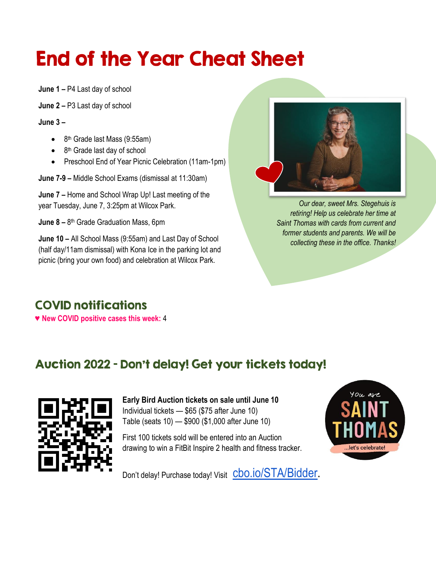# End of the Year Cheat Sheet

**June 1 –** P4 Last day of school

**June 2 –** P3 Last day of school

**June 3 –**

- $\bullet$  8<sup>th</sup> Grade last Mass (9:55am)
- 8<sup>th</sup> Grade last day of school
- Preschool End of Year Picnic Celebration (11am-1pm)

**June 7-9 –** Middle School Exams (dismissal at 11:30am)

**June 7 –** Home and School Wrap Up! Last meeting of the year Tuesday, June 7, 3:25pm at Wilcox Park.

**June 8 –** 8 th Grade Graduation Mass, 6pm

**June 10 –** All School Mass (9:55am) and Last Day of School (half day/11am dismissal) with Kona Ice in the parking lot and picnic (bring your own food) and celebration at Wilcox Park.



*Our dear, sweet Mrs. Stegehuis is retiring! Help us celebrate her time at Saint Thomas with cards from current and former students and parents. We will be collecting these in the office. Thanks!*

# COVID notifications

♥ **New COVID positive cases this week:** 4

# Auction 2022 – Don't delay! Get your tickets today!



**Early Bird Auction tickets on sale until June 10** Individual tickets — \$65 (\$75 after June 10) Table (seats 10) — \$900 (\$1,000 after June 10)

First 100 tickets sold will be entered into an Auction drawing to win a FitBit Inspire 2 health and fitness tracker.



Don't delay! Purchase today! Visit C<sub>bo.io</sub>/STA/Bidder.